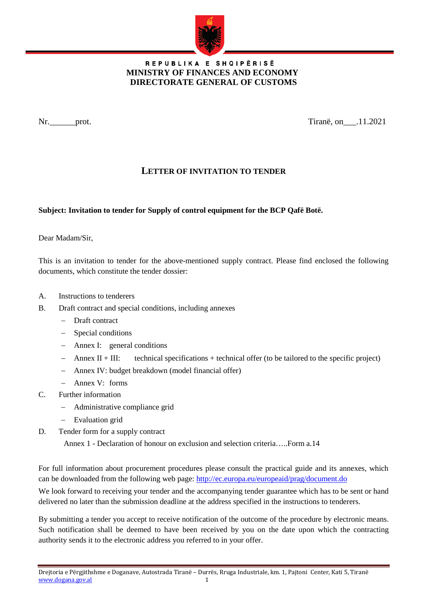

## REPUBLIKA E SHQIPËRISË  **MINISTRY OF FINANCES AND ECONOMY DIRECTORATE GENERAL OF CUSTOMS**

Nr.\_\_\_\_\_\_prot. Tiranë, on\_\_\_.11.2021

## **LETTER OF INVITATION TO TENDER**

## **Subject: Invitation to tender for Supply of control equipment for the BCP Qafë Botë.**

Dear Madam/Sir,

This is an invitation to tender for the above-mentioned supply contract. Please find enclosed the following documents, which constitute the tender dossier:

- A. Instructions to tenderers
- B. Draft contract and special conditions, including annexes
	- − Draft contract
	- − Special conditions
	- − Annex I: general conditions
	- − Annex II + III: technical specifications + technical offer (to be tailored to the specific project)
	- − Annex IV: budget breakdown (model financial offer)
	- − Annex V: forms
- C. Further information
	- − Administrative compliance grid
	- − Evaluation grid
- D. Tender form for a supply contract

Annex 1 - Declaration of honour on exclusion and selection criteria…..Form a.14

For full information about procurement procedures please consult the practical guide and its annexes, which can be downloaded from the following web page:<http://ec.europa.eu/europeaid/prag/document.do>

We look forward to receiving your tender and the accompanying tender guarantee which has to be sent or hand delivered no later than the submission deadline at the address specified in the instructions to tenderers.

By submitting a tender you accept to receive notification of the outcome of the procedure by electronic means. Such notification shall be deemed to have been received by you on the date upon which the contracting authority sends it to the electronic address you referred to in your offer.